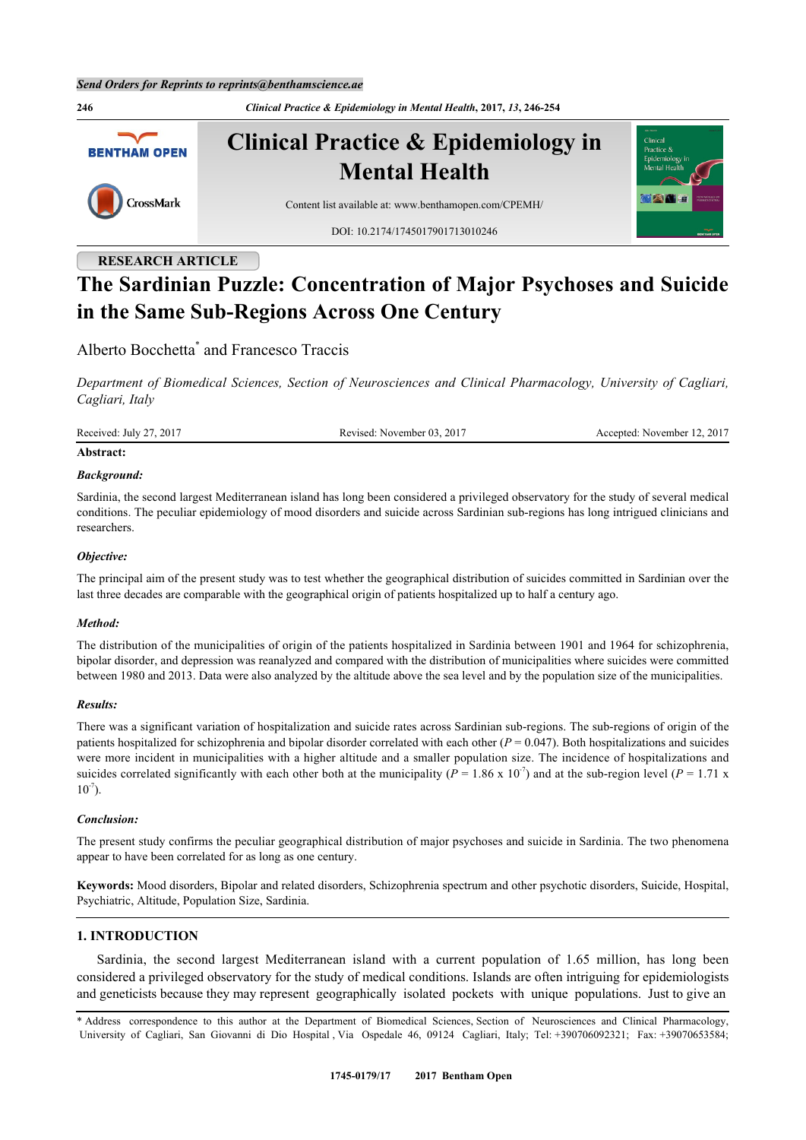**246** *Clinical Practice & Epidemiology in Mental Health***, 2017,** *13***, 246-254 Clinical Practice & Epidemiology in BENTHAM OPEN Mental Health** CrossMark Content list available at: [www.benthamopen.com/CPEMH/](http://www.benthamopen.com/CPEMH/) DOI: [10.2174/1745017901713010246](http://dx.doi.org/10.2174/1745017901713010246)

# **RESEARCH ARTICLE**

# **The Sardinian Puzzle: Concentration of Major Psychoses and Suicide in the Same Sub-Regions Across One Century**

Alberto Bocchetta[\\*](#page-0-0) and Francesco Traccis

*Department of Biomedical Sciences, Section of Neurosciences and Clinical Pharmacology, University of Cagliari, Cagliari, Italy*

Received: July 27, 2017 Revised: November 03, 2017 Accepted: November 12, 2017

### **Abstract:**

#### *Background:*

Sardinia, the second largest Mediterranean island has long been considered a privileged observatory for the study of several medical conditions. The peculiar epidemiology of mood disorders and suicide across Sardinian sub-regions has long intrigued clinicians and researchers.

# *Objective:*

The principal aim of the present study was to test whether the geographical distribution of suicides committed in Sardinian over the last three decades are comparable with the geographical origin of patients hospitalized up to half a century ago.

#### *Method:*

The distribution of the municipalities of origin of the patients hospitalized in Sardinia between 1901 and 1964 for schizophrenia, bipolar disorder, and depression was reanalyzed and compared with the distribution of municipalities where suicides were committed between 1980 and 2013. Data were also analyzed by the altitude above the sea level and by the population size of the municipalities.

### *Results:*

There was a significant variation of hospitalization and suicide rates across Sardinian sub-regions. The sub-regions of origin of the patients hospitalized for schizophrenia and bipolar disorder correlated with each other (*P* = 0.047). Both hospitalizations and suicides were more incident in municipalities with a higher altitude and a smaller population size. The incidence of hospitalizations and suicides correlated significantly with each other both at the municipality ( $P = 1.86 \times 10^{-7}$ ) and at the sub-region level ( $P = 1.71 \times$  $10^{-7}$ ).

#### *Conclusion:*

The present study confirms the peculiar geographical distribution of major psychoses and suicide in Sardinia. The two phenomena appear to have been correlated for as long as one century.

**Keywords:** Mood disorders, Bipolar and related disorders, Schizophrenia spectrum and other psychotic disorders, Suicide, Hospital, Psychiatric, Altitude, Population Size, Sardinia.

# **1. INTRODUCTION**

Sardinia, the second largest Mediterranean island with a current population of 1.65 million, has long been considered a privileged observatory for the study of medical conditions. Islands are often intriguing for epidemiologists and geneticists because they may represent geographically isolated pockets with unique populations. Just to give an

<span id="page-0-0"></span><sup>\*</sup> Address correspondence to this author at the Department of Biomedical Sciences, Section of Neurosciences and Clinical Pharmacology, University of Cagliari, San Giovanni di Dio Hospital , Via Ospedale 46, 09124 Cagliari, Italy; Tel: +390706092321; Fax: +39070653584;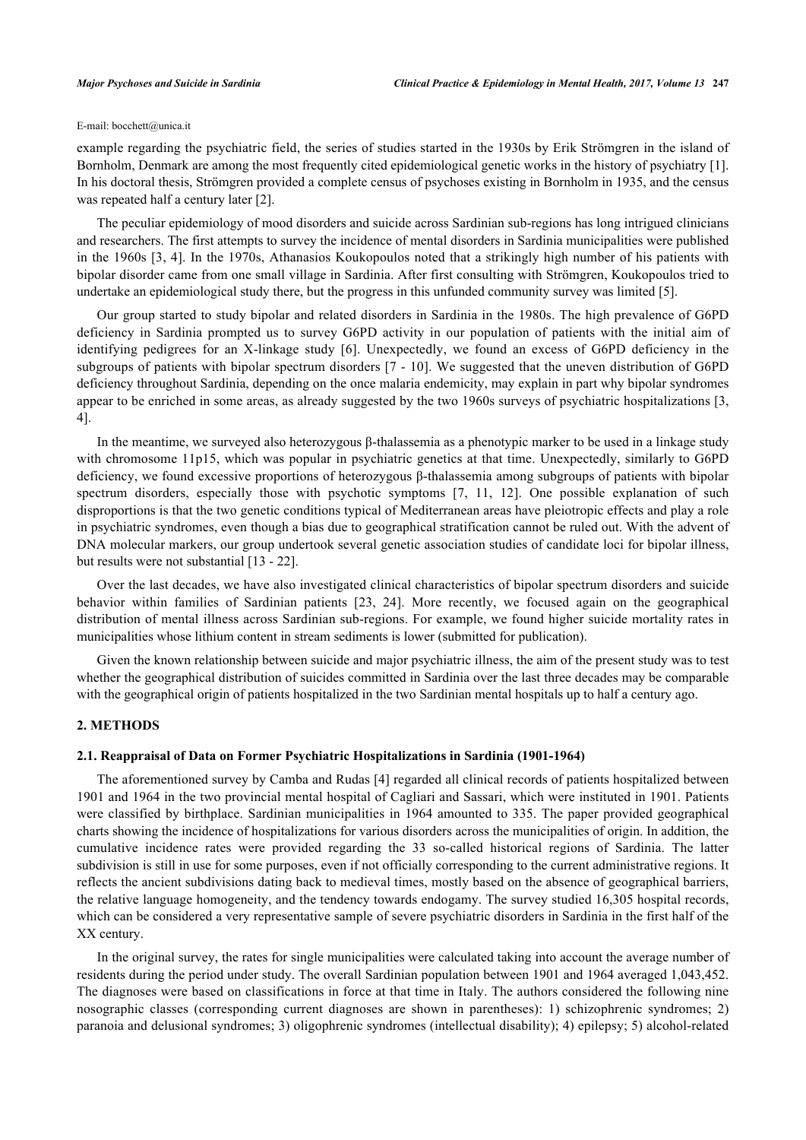### E-mail: [bocchett@unica.it](mailto:bocchett@unica.it)

example regarding the psychiatric field, the series of studies started in the 1930s by Erik Strömgren in the island of Bornholm, Denmark are among the most frequently cited epidemiological genetic works in the history of psychiatry [[1\]](#page-5-0). In his doctoral thesis, Strömgren provided a complete census of psychoses existing in Bornholm in 1935, and the census was repeated half a century later [\[2](#page-5-1)].

The peculiar epidemiology of mood disorders and suicide across Sardinian sub-regions has long intrigued clinicians and researchers. The first attempts to survey the incidence of mental disorders in Sardinia municipalities were published in the 1960s [\[3](#page-5-2), [4](#page-5-3)]. In the 1970s, Athanasios Koukopoulos noted that a strikingly high number of his patients with bipolar disorder came from one small village in Sardinia. After first consulting with Strömgren, Koukopoulos tried to undertake an epidemiological study there, but the progress in this unfunded community survey was limited [[5\]](#page-5-4).

Our group started to study bipolar and related disorders in Sardinia in the 1980s. The high prevalence of G6PD deficiency in Sardinia prompted us to survey G6PD activity in our population of patients with the initial aim of identifying pedigrees for an X-linkage study [\[6](#page-5-5)]. Unexpectedly, we found an excess of G6PD deficiency in the subgroups of patients with bipolar spectrum disorders [[7](#page-5-6) - [10](#page-6-0)]. We suggested that the uneven distribution of G6PD deficiency throughout Sardinia, depending on the once malaria endemicity, may explain in part why bipolar syndromes appear to be enriched in some areas, as already suggested by the two 1960s surveys of psychiatric hospitalizations [[3](#page-5-2), [4\]](#page-5-3).

In the meantime, we surveyed also heterozygous β-thalassemia as a phenotypic marker to be used in a linkage study with chromosome 11p15, which was popular in psychiatric genetics at that time. Unexpectedly, similarly to G6PD deficiency, we found excessive proportions of heterozygous β-thalassemia among subgroups of patients with bipolar spectrum disorders, especially those with psychotic symptoms[[7](#page-5-6), [11](#page-6-1), [12\]](#page-6-2). One possible explanation of such disproportions is that the two genetic conditions typical of Mediterranean areas have pleiotropic effects and play a role in psychiatric syndromes, even though a bias due to geographical stratification cannot be ruled out. With the advent of DNA molecular markers, our group undertook several genetic association studies of candidate loci for bipolar illness, but results were not substantial [\[13](#page-6-3) - [22\]](#page-6-4).

Over the last decades, we have also investigated clinical characteristics of bipolar spectrum disorders and suicide behavior within families of Sardinian patients[[23](#page-6-5), [24](#page-6-6)]. More recently, we focused again on the geographical distribution of mental illness across Sardinian sub-regions. For example, we found higher suicide mortality rates in municipalities whose lithium content in stream sediments is lower (submitted for publication).

Given the known relationship between suicide and major psychiatric illness, the aim of the present study was to test whether the geographical distribution of suicides committed in Sardinia over the last three decades may be comparable with the geographical origin of patients hospitalized in the two Sardinian mental hospitals up to half a century ago.

# **2. METHODS**

# **2.1. Reappraisal of Data on Former Psychiatric Hospitalizations in Sardinia (1901-1964)**

The aforementioned survey by Camba and Rudas [[4\]](#page-5-3) regarded all clinical records of patients hospitalized between 1901 and 1964 in the two provincial mental hospital of Cagliari and Sassari, which were instituted in 1901. Patients were classified by birthplace. Sardinian municipalities in 1964 amounted to 335. The paper provided geographical charts showing the incidence of hospitalizations for various disorders across the municipalities of origin. In addition, the cumulative incidence rates were provided regarding the 33 so-called historical regions of Sardinia. The latter subdivision is still in use for some purposes, even if not officially corresponding to the current administrative regions. It reflects the ancient subdivisions dating back to medieval times, mostly based on the absence of geographical barriers, the relative language homogeneity, and the tendency towards endogamy. The survey studied 16,305 hospital records, which can be considered a very representative sample of severe psychiatric disorders in Sardinia in the first half of the XX century.

In the original survey, the rates for single municipalities were calculated taking into account the average number of residents during the period under study. The overall Sardinian population between 1901 and 1964 averaged 1,043,452. The diagnoses were based on classifications in force at that time in Italy. The authors considered the following nine nosographic classes (corresponding current diagnoses are shown in parentheses): 1) schizophrenic syndromes; 2) paranoia and delusional syndromes; 3) oligophrenic syndromes (intellectual disability); 4) epilepsy; 5) alcohol-related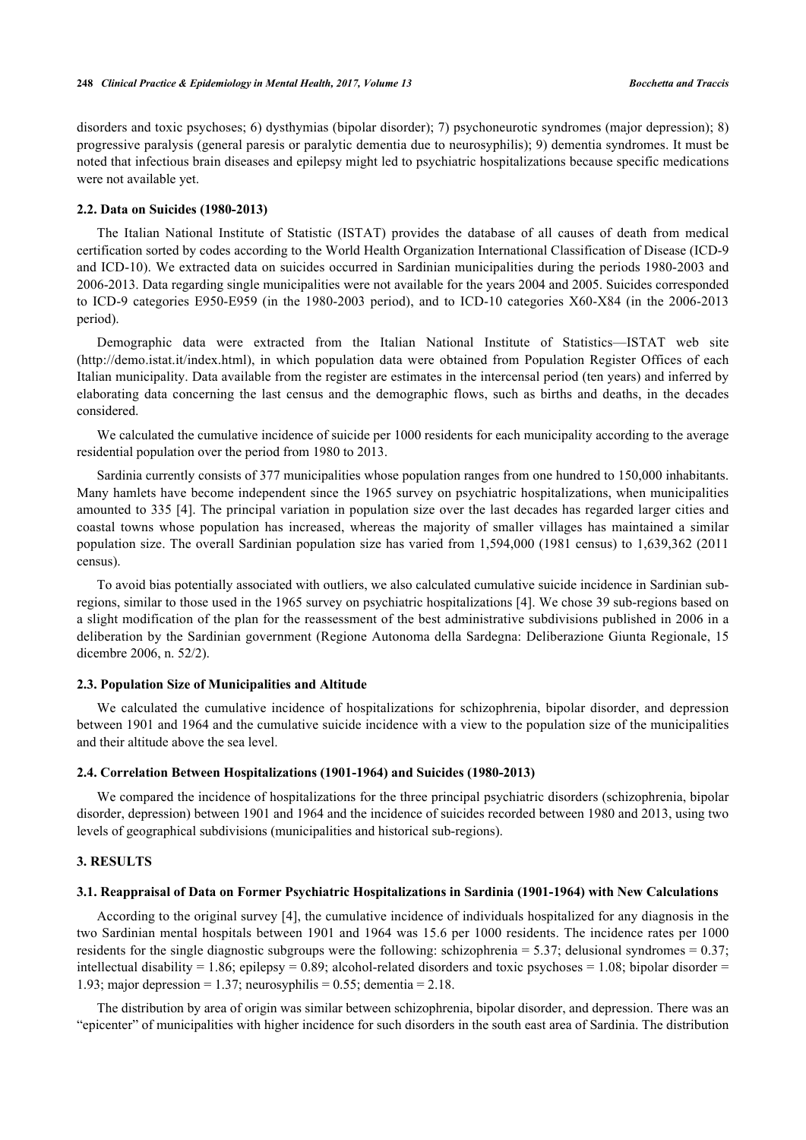disorders and toxic psychoses; 6) dysthymias (bipolar disorder); 7) psychoneurotic syndromes (major depression); 8) progressive paralysis (general paresis or paralytic dementia due to neurosyphilis); 9) dementia syndromes. It must be noted that infectious brain diseases and epilepsy might led to psychiatric hospitalizations because specific medications were not available yet.

#### **2.2. Data on Suicides (1980-2013)**

The Italian National Institute of Statistic (ISTAT) provides the database of all causes of death from medical certification sorted by codes according to the World Health Organization International Classification of Disease (ICD-9 and ICD-10). We extracted data on suicides occurred in Sardinian municipalities during the periods 1980-2003 and 2006-2013. Data regarding single municipalities were not available for the years 2004 and 2005. Suicides corresponded to ICD-9 categories E950-E959 (in the 1980-2003 period), and to ICD-10 categories X60-X84 (in the 2006-2013 period).

Demographic data were extracted from the Italian National Institute of Statistics—ISTAT web site [\(http://demo.istat.it/index.html](http://demo.istat.it/index.html)), in which population data were obtained from Population Register Offices of each Italian municipality. Data available from the register are estimates in the intercensal period (ten years) and inferred by elaborating data concerning the last census and the demographic flows, such as births and deaths, in the decades considered.

We calculated the cumulative incidence of suicide per 1000 residents for each municipality according to the average residential population over the period from 1980 to 2013.

Sardinia currently consists of 377 municipalities whose population ranges from one hundred to 150,000 inhabitants. Many hamlets have become independent since the 1965 survey on psychiatric hospitalizations, when municipalities amounted to 335 [[4\]](#page-5-3). The principal variation in population size over the last decades has regarded larger cities and coastal towns whose population has increased, whereas the majority of smaller villages has maintained a similar population size. The overall Sardinian population size has varied from 1,594,000 (1981 census) to 1,639,362 (2011 census).

To avoid bias potentially associated with outliers, we also calculated cumulative suicide incidence in Sardinian subregions, similar to those used in the 1965 survey on psychiatric hospitalizations [[4\]](#page-5-3). We chose 39 sub-regions based on a slight modification of the plan for the reassessment of the best administrative subdivisions published in 2006 in a deliberation by the Sardinian government (Regione Autonoma della Sardegna: Deliberazione Giunta Regionale, 15 dicembre 2006, n. 52/2).

#### **2.3. Population Size of Municipalities and Altitude**

We calculated the cumulative incidence of hospitalizations for schizophrenia, bipolar disorder, and depression between 1901 and 1964 and the cumulative suicide incidence with a view to the population size of the municipalities and their altitude above the sea level.

#### **2.4. Correlation Between Hospitalizations (1901-1964) and Suicides (1980-2013)**

We compared the incidence of hospitalizations for the three principal psychiatric disorders (schizophrenia, bipolar disorder, depression) between 1901 and 1964 and the incidence of suicides recorded between 1980 and 2013, using two levels of geographical subdivisions (municipalities and historical sub-regions).

#### **3. RESULTS**

#### **3.1. Reappraisal of Data on Former Psychiatric Hospitalizations in Sardinia (1901-1964) with New Calculations**

According to the original survey [\[4](#page-5-3)], the cumulative incidence of individuals hospitalized for any diagnosis in the two Sardinian mental hospitals between 1901 and 1964 was 15.6 per 1000 residents. The incidence rates per 1000 residents for the single diagnostic subgroups were the following: schizophrenia = 5.37; delusional syndromes =  $0.37$ ; intellectual disability = 1.86; epilepsy = 0.89; alcohol-related disorders and toxic psychoses = 1.08; bipolar disorder = 1.93; major depression = 1.37; neurosyphilis = 0.55; dementia = 2.18.

The distribution by area of origin was similar between schizophrenia, bipolar disorder, and depression. There was an "epicenter" of municipalities with higher incidence for such disorders in the south east area of Sardinia. The distribution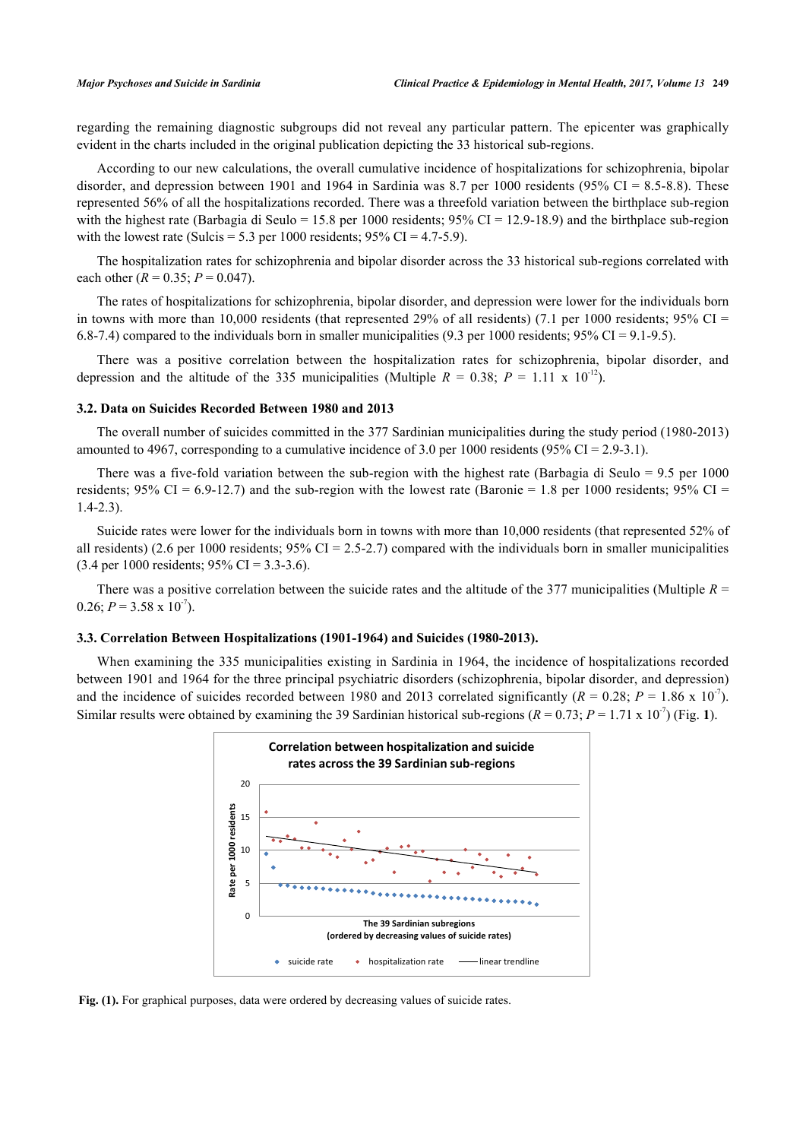regarding the remaining diagnostic subgroups did not reveal any particular pattern. The epicenter was graphically evident in the charts included in the original publication depicting the 33 historical sub-regions.

According to our new calculations, the overall cumulative incidence of hospitalizations for schizophrenia, bipolar disorder, and depression between 1901 and 1964 in Sardinia was 8.7 per 1000 residents (95% CI = 8.5-8.8). These represented 56% of all the hospitalizations recorded. There was a threefold variation between the birthplace sub-region with the highest rate (Barbagia di Seulo = 15.8 per 1000 residents;  $95\%$  CI = 12.9-18.9) and the birthplace sub-region with the lowest rate (Sulcis =  $5.3$  per 1000 residents;  $95\%$  CI =  $4.7-5.9$ ).

The hospitalization rates for schizophrenia and bipolar disorder across the 33 historical sub-regions correlated with each other  $(R = 0.35; P = 0.047)$ .

The rates of hospitalizations for schizophrenia, bipolar disorder, and depression were lower for the individuals born in towns with more than 10,000 residents (that represented 29% of all residents) (7.1 per 1000 residents; 95% CI = 6.8-7.4) compared to the individuals born in smaller municipalities (9.3 per 1000 residents; 95% CI = 9.1-9.5).

There was a positive correlation between the hospitalization rates for schizophrenia, bipolar disorder, and depression and the altitude of the 335 municipalities (Multiple  $R = 0.38$ ;  $P = 1.11 \times 10^{-12}$ ).

# **3.2. Data on Suicides Recorded Between 1980 and 2013**

The overall number of suicides committed in the 377 Sardinian municipalities during the study period (1980-2013) amounted to 4967, corresponding to a cumulative incidence of 3.0 per 1000 residents (95% CI = 2.9-3.1).

There was a five-fold variation between the sub-region with the highest rate (Barbagia di Seulo = 9.5 per 1000 residents; 95% CI = 6.9-12.7) and the sub-region with the lowest rate (Baronie = 1.8 per 1000 residents; 95% CI = 1.4-2.3).

Suicide rates were lower for the individuals born in towns with more than 10,000 residents (that represented 52% of all residents) (2.6 per 1000 residents;  $95\%$  CI = 2.5-2.7) compared with the individuals born in smaller municipalities  $(3.4 \text{ per } 1000 \text{ residents}; 95\% \text{ CI} = 3.3-3.6).$ 

There was a positive correlation between the suicide rates and the altitude of the 377 municipalities (Multiple *R* = 0.26;  $P = 3.58 \times 10^{-7}$ ).

#### **3.3. Correlation Between Hospitalizations (1901-1964) and Suicides (1980-2013).**

<span id="page-3-0"></span>When examining the 335 municipalities existing in Sardinia in 1964, the incidence of hospitalizations recorded between 1901 and 1964 for the three principal psychiatric disorders (schizophrenia, bipolar disorder, and depression) and the incidence of suicides recorded between 1980 and 2013 correlated significantly ( $R = 0.28$ ;  $P = 1.86 \times 10^{-7}$ ). Similar results were obtained by examining the 39 Sardinian historical sub-regions  $(R = 0.73; P = 1.71 \times 10^{-7})$  $(R = 0.73; P = 1.71 \times 10^{-7})$  $(R = 0.73; P = 1.71 \times 10^{-7})$  (Fig. 1).



Fig. (1). For graphical purposes, data were ordered by decreasing values of suicide rates.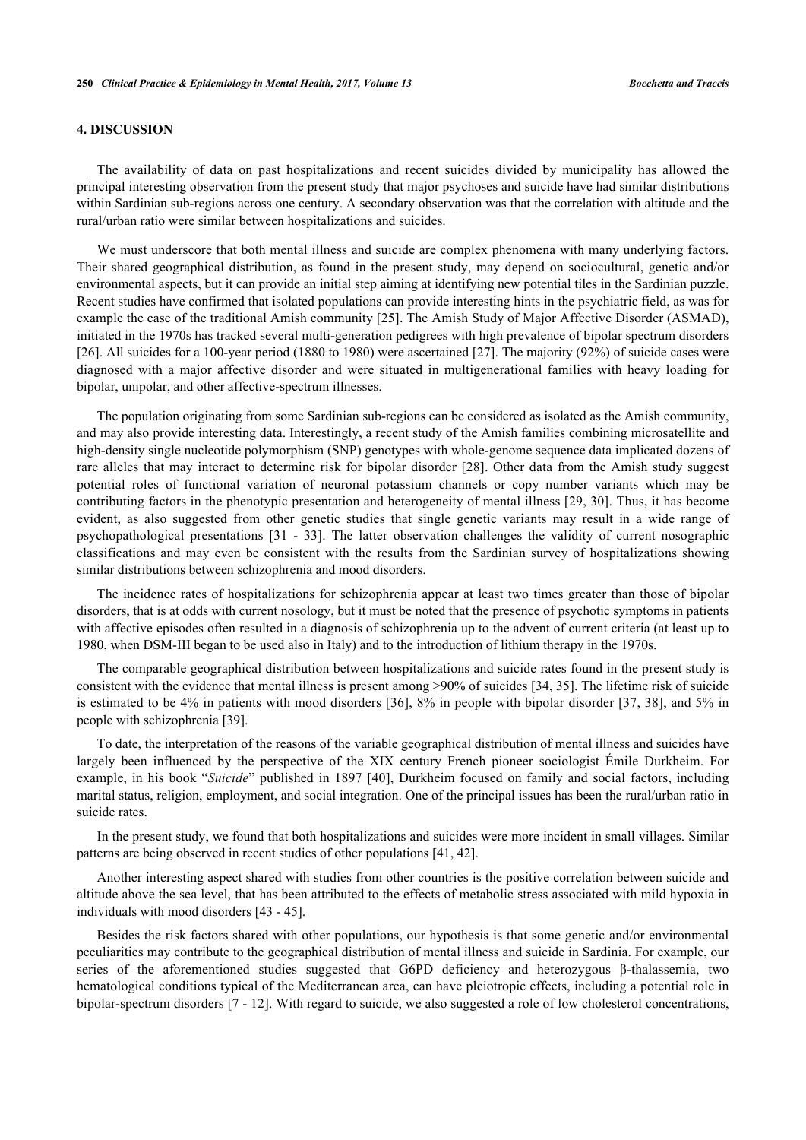# **4. DISCUSSION**

The availability of data on past hospitalizations and recent suicides divided by municipality has allowed the principal interesting observation from the present study that major psychoses and suicide have had similar distributions within Sardinian sub-regions across one century. A secondary observation was that the correlation with altitude and the rural/urban ratio were similar between hospitalizations and suicides.

We must underscore that both mental illness and suicide are complex phenomena with many underlying factors. Their shared geographical distribution, as found in the present study, may depend on sociocultural, genetic and/or environmental aspects, but it can provide an initial step aiming at identifying new potential tiles in the Sardinian puzzle. Recent studies have confirmed that isolated populations can provide interesting hints in the psychiatric field, as was for example the case of the traditional Amish community [[25\]](#page-6-7). The Amish Study of Major Affective Disorder (ASMAD), initiated in the 1970s has tracked several multi-generation pedigrees with high prevalence of bipolar spectrum disorders [\[26](#page-6-8)]. All suicides for a 100-year period (1880 to 1980) were ascertained [\[27](#page-6-9)]. The majority (92%) of suicide cases were diagnosed with a major affective disorder and were situated in multigenerational families with heavy loading for bipolar, unipolar, and other affective-spectrum illnesses.

The population originating from some Sardinian sub-regions can be considered as isolated as the Amish community, and may also provide interesting data. Interestingly, a recent study of the Amish families combining microsatellite and high-density single nucleotide polymorphism (SNP) genotypes with whole-genome sequence data implicated dozens of rare alleles that may interact to determine risk for bipolar disorder [\[28\]](#page-6-10). Other data from the Amish study suggest potential roles of functional variation of neuronal potassium channels or copy number variants which may be contributing factors in the phenotypic presentation and heterogeneity of mental illness [\[29,](#page-7-0) [30](#page-7-1)]. Thus, it has become evident, as also suggested from other genetic studies that single genetic variants may result in a wide range of psychopathological presentations [\[31](#page-7-2) - [33\]](#page-7-3). The latter observation challenges the validity of current nosographic classifications and may even be consistent with the results from the Sardinian survey of hospitalizations showing similar distributions between schizophrenia and mood disorders.

The incidence rates of hospitalizations for schizophrenia appear at least two times greater than those of bipolar disorders, that is at odds with current nosology, but it must be noted that the presence of psychotic symptoms in patients with affective episodes often resulted in a diagnosis of schizophrenia up to the advent of current criteria (at least up to 1980, when DSM-III began to be used also in Italy) and to the introduction of lithium therapy in the 1970s.

The comparable geographical distribution between hospitalizations and suicide rates found in the present study is consistent with the evidence that mental illness is present among >90% of suicides [[34,](#page-7-4) [35\]](#page-7-5). The lifetime risk of suicide is estimated to be 4% in patients with mood disorders [[36\]](#page-7-6), 8% in people with bipolar disorder [\[37,](#page-7-7) [38\]](#page-7-8), and 5% in people with schizophrenia [[39\]](#page-7-9).

To date, the interpretation of the reasons of the variable geographical distribution of mental illness and suicides have largely been influenced by the perspective of the XIX century French pioneer sociologist Émile Durkheim. For example, in his book "*Suicide*" published in 1897 [[40\]](#page-7-10), Durkheim focused on family and social factors, including marital status, religion, employment, and social integration. One of the principal issues has been the rural/urban ratio in suicide rates.

In the present study, we found that both hospitalizations and suicides were more incident in small villages. Similar patterns are being observed in recent studies of other populations [[41,](#page-7-11) [42\]](#page-7-12).

Another interesting aspect shared with studies from other countries is the positive correlation between suicide and altitude above the sea level, that has been attributed to the effects of metabolic stress associated with mild hypoxia in individuals with mood disorders [[43](#page-7-13) - [45](#page-7-14)].

Besides the risk factors shared with other populations, our hypothesis is that some genetic and/or environmental peculiarities may contribute to the geographical distribution of mental illness and suicide in Sardinia. For example, our series of the aforementioned studies suggested that G6PD deficiency and heterozygous β-thalassemia, two hematological conditions typical of the Mediterranean area, can have pleiotropic effects, including a potential role in bipolar-spectrum disorders [[7](#page-5-6) - [12](#page-6-2)]. With regard to suicide, we also suggested a role of low cholesterol concentrations,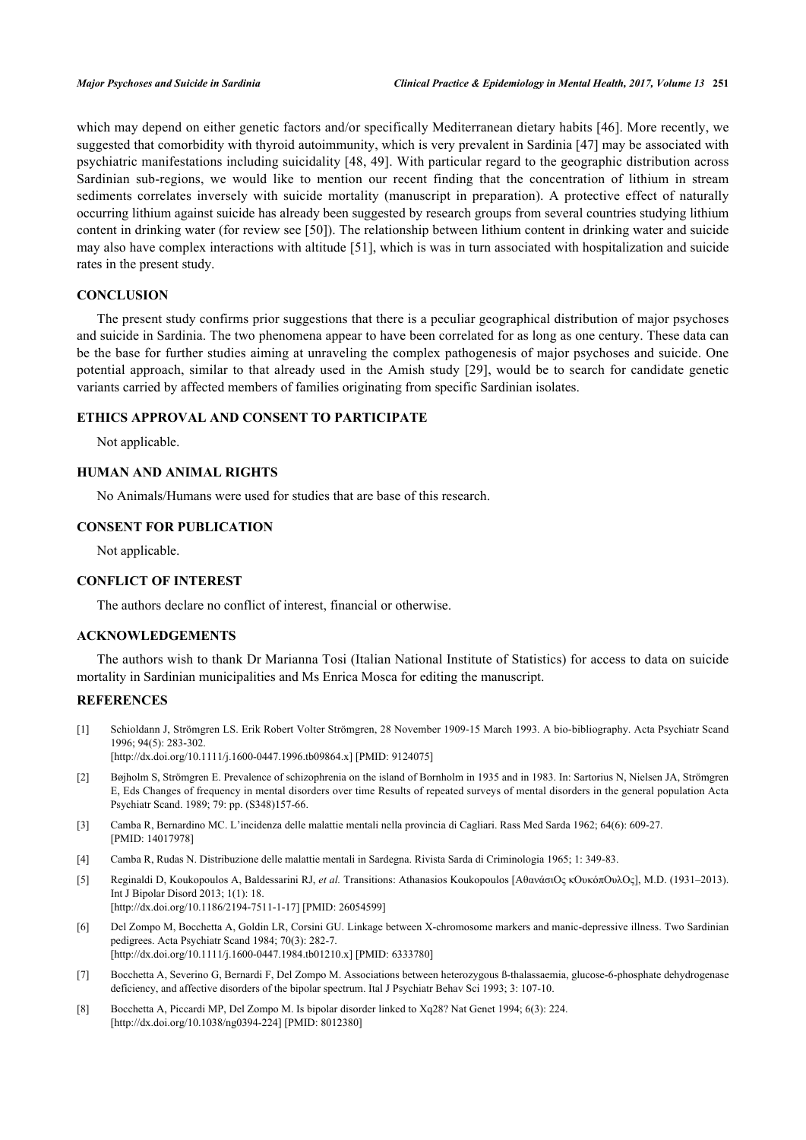which may depend on either genetic factors and/or specifically Mediterranean dietary habits [\[46](#page-7-15)]. More recently, we suggested that comorbidity with thyroid autoimmunity, which is very prevalent in Sardinia [[47\]](#page-7-16) may be associated with psychiatric manifestations including suicidality [[48](#page-7-17), [49](#page-7-18)]. With particular regard to the geographic distribution across Sardinian sub-regions, we would like to mention our recent finding that the concentration of lithium in stream sediments correlates inversely with suicide mortality (manuscript in preparation). A protective effect of naturally occurring lithium against suicide has already been suggested by research groups from several countries studying lithium content in drinking water (for review see [[50\]](#page-8-0)). The relationship between lithium content in drinking water and suicide may also have complex interactions with altitude [[51](#page-8-1)], which is was in turn associated with hospitalization and suicide rates in the present study.

# **CONCLUSION**

The present study confirms prior suggestions that there is a peculiar geographical distribution of major psychoses and suicide in Sardinia. The two phenomena appear to have been correlated for as long as one century. These data can be the base for further studies aiming at unraveling the complex pathogenesis of major psychoses and suicide. One potential approach, similar to that already used in the Amish study [[29](#page-7-0)], would be to search for candidate genetic variants carried by affected members of families originating from specific Sardinian isolates.

# **ETHICS APPROVAL AND CONSENT TO PARTICIPATE**

Not applicable.

# **HUMAN AND ANIMAL RIGHTS**

No Animals/Humans were used for studies that are base of this research.

# **CONSENT FOR PUBLICATION**

Not applicable.

# **CONFLICT OF INTEREST**

The authors declare no conflict of interest, financial or otherwise.

# **ACKNOWLEDGEMENTS**

The authors wish to thank Dr Marianna Tosi (Italian National Institute of Statistics) for access to data on suicide mortality in Sardinian municipalities and Ms Enrica Mosca for editing the manuscript.

#### **REFERENCES**

<span id="page-5-0"></span>[1] Schioldann J, Strömgren LS. Erik Robert Volter Strömgren, 28 November 1909-15 March 1993. A bio-bibliography. Acta Psychiatr Scand 1996; 94(5): 283-302.

[\[http://dx.doi.org/10.1111/j.1600-0447.1996.tb09864.x\]](http://dx.doi.org/10.1111/j.1600-0447.1996.tb09864.x) [PMID: [9124075](http://www.ncbi.nlm.nih.gov/pubmed/9124075)]

- <span id="page-5-1"></span>[2] Bøjholm S, Strömgren E. Prevalence of schizophrenia on the island of Bornholm in 1935 and in 1983. In: Sartorius N, Nielsen JA, Strömgren E, Eds Changes of frequency in mental disorders over time Results of repeated surveys of mental disorders in the general population Acta Psychiatr Scand. 1989; 79: pp. (S348)157-66.
- <span id="page-5-2"></span>[3] Camba R, Bernardino MC. L'incidenza delle malattie mentali nella provincia di Cagliari. Rass Med Sarda 1962; 64(6): 609-27. [PMID: [14017978\]](http://www.ncbi.nlm.nih.gov/pubmed/14017978)
- <span id="page-5-3"></span>[4] Camba R, Rudas N. Distribuzione delle malattie mentali in Sardegna. Rivista Sarda di Criminologia 1965; 1: 349-83.
- <span id="page-5-4"></span>[5] Reginaldi D, Koukopoulos A, Baldessarini RJ, *et al.* Transitions: Athanasios Koukopoulos [AθανάσιOς κOυκόπOυλOς], M.D. (1931–2013). Int J Bipolar Disord 2013; 1(1): 18. [\[http://dx.doi.org/10.1186/2194-7511-1-17\]](http://dx.doi.org/10.1186/2194-7511-1-17) [PMID: [26054599](http://www.ncbi.nlm.nih.gov/pubmed/26054599)]
- <span id="page-5-5"></span>[6] Del Zompo M, Bocchetta A, Goldin LR, Corsini GU. Linkage between X-chromosome markers and manic-depressive illness. Two Sardinian pedigrees. Acta Psychiatr Scand 1984; 70(3): 282-7. [\[http://dx.doi.org/10.1111/j.1600-0447.1984.tb01210.x\]](http://dx.doi.org/10.1111/j.1600-0447.1984.tb01210.x) [PMID: [6333780](http://www.ncbi.nlm.nih.gov/pubmed/6333780)]
- <span id="page-5-6"></span>[7] Bocchetta A, Severino G, Bernardi F, Del Zompo M. Associations between heterozygous ß-thalassaemia, glucose-6-phosphate dehydrogenase deficiency, and affective disorders of the bipolar spectrum. Ital J Psychiatr Behav Sci 1993; 3: 107-10.
- [8] Bocchetta A, Piccardi MP, Del Zompo M. Is bipolar disorder linked to Xq28? Nat Genet 1994; 6(3): 224. [\[http://dx.doi.org/10.1038/ng0394-224](http://dx.doi.org/10.1038/ng0394-224)] [PMID: [8012380](http://www.ncbi.nlm.nih.gov/pubmed/8012380)]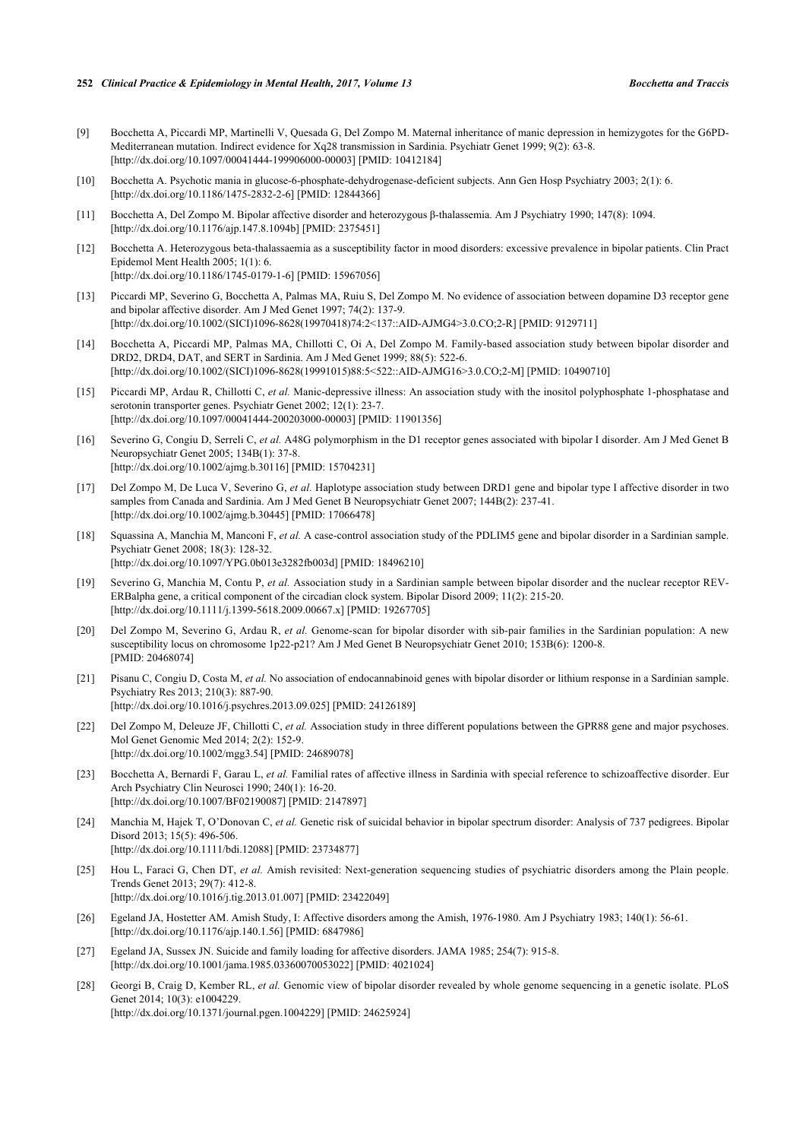- [9] Bocchetta A, Piccardi MP, Martinelli V, Quesada G, Del Zompo M. Maternal inheritance of manic depression in hemizygotes for the G6PD-Mediterranean mutation. Indirect evidence for Xq28 transmission in Sardinia. Psychiatr Genet 1999; 9(2): 63-8. [\[http://dx.doi.org/10.1097/00041444-199906000-00003](http://dx.doi.org/10.1097/00041444-199906000-00003)] [PMID: [10412184\]](http://www.ncbi.nlm.nih.gov/pubmed/10412184)
- <span id="page-6-0"></span>[10] Bocchetta A. Psychotic mania in glucose-6-phosphate-dehydrogenase-deficient subjects. Ann Gen Hosp Psychiatry 2003; 2(1): 6. [\[http://dx.doi.org/10.1186/1475-2832-2-6\]](http://dx.doi.org/10.1186/1475-2832-2-6) [PMID: [12844366](http://www.ncbi.nlm.nih.gov/pubmed/12844366)]
- <span id="page-6-1"></span>[11] Bocchetta A, Del Zompo M. Bipolar affective disorder and heterozygous β-thalassemia. Am J Psychiatry 1990; 147(8): 1094. [\[http://dx.doi.org/10.1176/ajp.147.8.1094b\]](http://dx.doi.org/10.1176/ajp.147.8.1094b) [PMID: [2375451](http://www.ncbi.nlm.nih.gov/pubmed/2375451)]
- <span id="page-6-2"></span>[12] Bocchetta A. Heterozygous beta-thalassaemia as a susceptibility factor in mood disorders: excessive prevalence in bipolar patients. Clin Pract Epidemol Ment Health 2005; 1(1): 6. [\[http://dx.doi.org/10.1186/1745-0179-1-6\]](http://dx.doi.org/10.1186/1745-0179-1-6) [PMID: [15967056](http://www.ncbi.nlm.nih.gov/pubmed/15967056)]
- <span id="page-6-3"></span>[13] Piccardi MP, Severino G, Bocchetta A, Palmas MA, Ruiu S, Del Zompo M. No evidence of association between dopamine D3 receptor gene and bipolar affective disorder. Am J Med Genet 1997; 74(2): 137-9. [\[http://dx.doi.org/10.1002/\(SICI\)1096-8628\(19970418\)74:2<137::AID-AJMG4>3.0.CO;2-R\]](http://dx.doi.org/10.1002/(SICI)1096-8628(19970418)74:2<137::AID-AJMG4>3.0.CO;2-R) [PMID: [9129711](http://www.ncbi.nlm.nih.gov/pubmed/9129711)]
- [14] Bocchetta A, Piccardi MP, Palmas MA, Chillotti C, Oi A, Del Zompo M. Family-based association study between bipolar disorder and DRD2, DRD4, DAT, and SERT in Sardinia. Am J Med Genet 1999; 88(5): 522-6. [\[http://dx.doi.org/10.1002/\(SICI\)1096-8628\(19991015\)88:5<522::AID-AJMG16>3.0.CO;2-M\]](http://dx.doi.org/10.1002/(SICI)1096-8628(19991015)88:5<522::AID-AJMG16>3.0.CO;2-M) [PMID: [10490710](http://www.ncbi.nlm.nih.gov/pubmed/10490710)]
- [15] Piccardi MP, Ardau R, Chillotti C, *et al.* Manic-depressive illness: An association study with the inositol polyphosphate 1-phosphatase and serotonin transporter genes. Psychiatr Genet 2002; 12(1): 23-7. [\[http://dx.doi.org/10.1097/00041444-200203000-00003](http://dx.doi.org/10.1097/00041444-200203000-00003)] [PMID: [11901356\]](http://www.ncbi.nlm.nih.gov/pubmed/11901356)
- [16] Severino G, Congiu D, Serreli C, *et al.* A48G polymorphism in the D1 receptor genes associated with bipolar I disorder. Am J Med Genet B Neuropsychiatr Genet 2005; 134B(1): 37-8. [\[http://dx.doi.org/10.1002/ajmg.b.30116\]](http://dx.doi.org/10.1002/ajmg.b.30116) [PMID: [15704231](http://www.ncbi.nlm.nih.gov/pubmed/15704231)]
- [17] Del Zompo M, De Luca V, Severino G, *et al.* Haplotype association study between DRD1 gene and bipolar type I affective disorder in two samples from Canada and Sardinia. Am J Med Genet B Neuropsychiatr Genet 2007; 144B(2): 237-41. [\[http://dx.doi.org/10.1002/ajmg.b.30445\]](http://dx.doi.org/10.1002/ajmg.b.30445) [PMID: [17066478](http://www.ncbi.nlm.nih.gov/pubmed/17066478)]
- [18] Squassina A, Manchia M, Manconi F, *et al.* A case-control association study of the PDLIM5 gene and bipolar disorder in a Sardinian sample. Psychiatr Genet 2008; 18(3): 128-32. [\[http://dx.doi.org/10.1097/YPG.0b013e3282fb003d](http://dx.doi.org/10.1097/YPG.0b013e3282fb003d)] [PMID: [18496210\]](http://www.ncbi.nlm.nih.gov/pubmed/18496210)
- [19] Severino G, Manchia M, Contu P, *et al.* Association study in a Sardinian sample between bipolar disorder and the nuclear receptor REV-ERBalpha gene, a critical component of the circadian clock system. Bipolar Disord 2009; 11(2): 215-20. [\[http://dx.doi.org/10.1111/j.1399-5618.2009.00667.x\]](http://dx.doi.org/10.1111/j.1399-5618.2009.00667.x) [PMID: [19267705](http://www.ncbi.nlm.nih.gov/pubmed/19267705)]
- [20] Del Zompo M, Severino G, Ardau R, *et al.* Genome-scan for bipolar disorder with sib-pair families in the Sardinian population: A new susceptibility locus on chromosome 1p22-p21? Am J Med Genet B Neuropsychiatr Genet 2010; 153B(6): 1200-8. [PMID: [20468074\]](http://www.ncbi.nlm.nih.gov/pubmed/20468074)
- [21] Pisanu C, Congiu D, Costa M, *et al.* No association of endocannabinoid genes with bipolar disorder or lithium response in a Sardinian sample. Psychiatry Res 2013; 210(3): 887-90. [\[http://dx.doi.org/10.1016/j.psychres.2013.09.025](http://dx.doi.org/10.1016/j.psychres.2013.09.025)] [PMID: [24126189\]](http://www.ncbi.nlm.nih.gov/pubmed/24126189)
- <span id="page-6-4"></span>[22] Del Zompo M, Deleuze JF, Chillotti C, et al. Association study in three different populations between the GPR88 gene and major psychoses. Mol Genet Genomic Med 2014; 2(2): 152-9. [\[http://dx.doi.org/10.1002/mgg3.54](http://dx.doi.org/10.1002/mgg3.54)] [PMID: [24689078\]](http://www.ncbi.nlm.nih.gov/pubmed/24689078)
- <span id="page-6-5"></span>[23] Bocchetta A, Bernardi F, Garau L, *et al.* Familial rates of affective illness in Sardinia with special reference to schizoaffective disorder. Eur Arch Psychiatry Clin Neurosci 1990; 240(1): 16-20. [\[http://dx.doi.org/10.1007/BF02190087\]](http://dx.doi.org/10.1007/BF02190087) [PMID: [2147897](http://www.ncbi.nlm.nih.gov/pubmed/2147897)]
- <span id="page-6-6"></span>[24] Manchia M, Hajek T, O'Donovan C, *et al.* Genetic risk of suicidal behavior in bipolar spectrum disorder: Analysis of 737 pedigrees. Bipolar Disord 2013; 15(5): 496-506. [\[http://dx.doi.org/10.1111/bdi.12088](http://dx.doi.org/10.1111/bdi.12088)] [PMID: [23734877\]](http://www.ncbi.nlm.nih.gov/pubmed/23734877)
- <span id="page-6-7"></span>[25] Hou L, Faraci G, Chen DT, *et al.* Amish revisited: Next-generation sequencing studies of psychiatric disorders among the Plain people. Trends Genet 2013; 29(7): 412-8. [\[http://dx.doi.org/10.1016/j.tig.2013.01.007](http://dx.doi.org/10.1016/j.tig.2013.01.007)] [PMID: [23422049](http://www.ncbi.nlm.nih.gov/pubmed/23422049)]
- <span id="page-6-8"></span>[26] Egeland JA, Hostetter AM. Amish Study, I: Affective disorders among the Amish, 1976-1980. Am J Psychiatry 1983; 140(1): 56-61. [\[http://dx.doi.org/10.1176/ajp.140.1.56\]](http://dx.doi.org/10.1176/ajp.140.1.56) [PMID: [6847986](http://www.ncbi.nlm.nih.gov/pubmed/6847986)]
- <span id="page-6-9"></span>[27] Egeland JA, Sussex JN. Suicide and family loading for affective disorders. JAMA 1985; 254(7): 915-8. [\[http://dx.doi.org/10.1001/jama.1985.03360070053022](http://dx.doi.org/10.1001/jama.1985.03360070053022)] [PMID: [4021024\]](http://www.ncbi.nlm.nih.gov/pubmed/4021024)
- <span id="page-6-10"></span>[28] Georgi B, Craig D, Kember RL, *et al.* Genomic view of bipolar disorder revealed by whole genome sequencing in a genetic isolate. PLoS Genet 2014; 10(3): e1004229. [\[http://dx.doi.org/10.1371/journal.pgen.1004229](http://dx.doi.org/10.1371/journal.pgen.1004229)] [PMID: [24625924\]](http://www.ncbi.nlm.nih.gov/pubmed/24625924)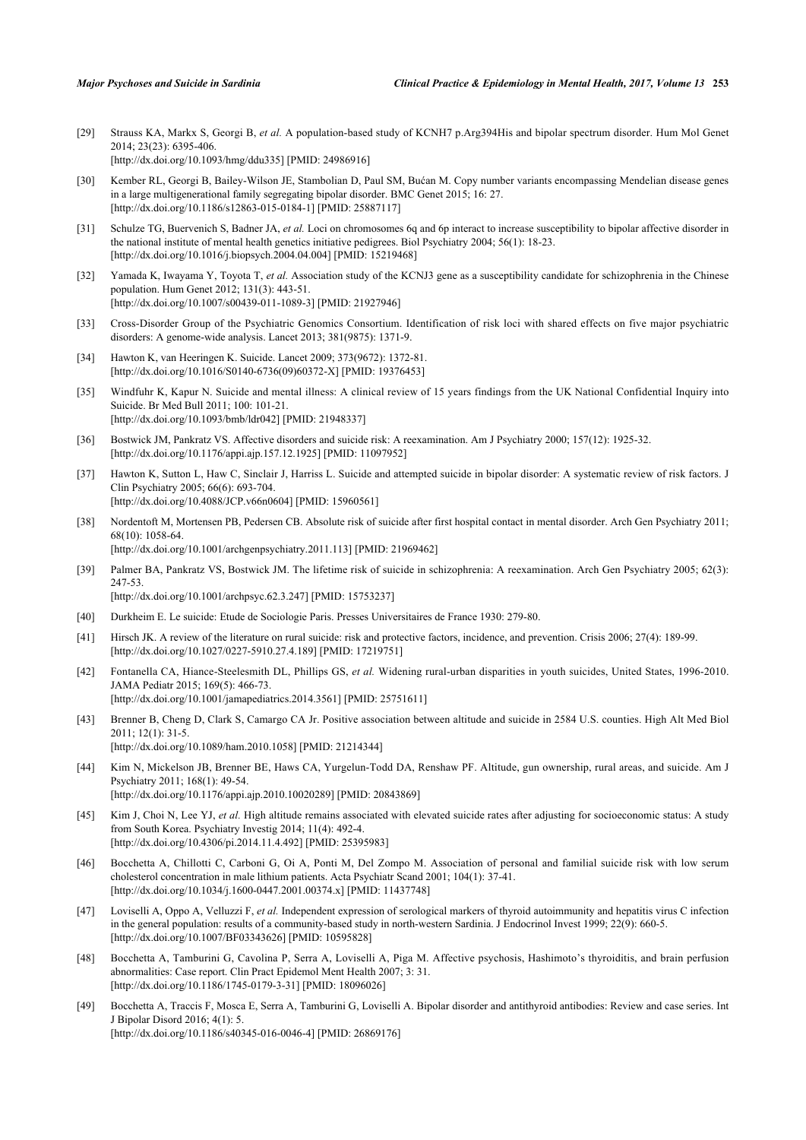- <span id="page-7-0"></span>[29] Strauss KA, Markx S, Georgi B, *et al.* A population-based study of KCNH7 p.Arg394His and bipolar spectrum disorder. Hum Mol Genet 2014; 23(23): 6395-406. [\[http://dx.doi.org/10.1093/hmg/ddu335](http://dx.doi.org/10.1093/hmg/ddu335)] [PMID: [24986916\]](http://www.ncbi.nlm.nih.gov/pubmed/24986916)
- <span id="page-7-1"></span>[30] Kember RL, Georgi B, Bailey-Wilson JE, Stambolian D, Paul SM, Bućan M. Copy number variants encompassing Mendelian disease genes in a large multigenerational family segregating bipolar disorder. BMC Genet 2015; 16: 27. [\[http://dx.doi.org/10.1186/s12863-015-0184-1\]](http://dx.doi.org/10.1186/s12863-015-0184-1) [PMID: [25887117](http://www.ncbi.nlm.nih.gov/pubmed/25887117)]
- <span id="page-7-2"></span>[31] Schulze TG, Buervenich S, Badner JA, *et al.* Loci on chromosomes 6q and 6p interact to increase susceptibility to bipolar affective disorder in the national institute of mental health genetics initiative pedigrees. Biol Psychiatry 2004; 56(1): 18-23. [\[http://dx.doi.org/10.1016/j.biopsych.2004.04.004\]](http://dx.doi.org/10.1016/j.biopsych.2004.04.004) [PMID: [15219468](http://www.ncbi.nlm.nih.gov/pubmed/15219468)]
- [32] Yamada K, Iwayama Y, Toyota T, *et al.* Association study of the KCNJ3 gene as a susceptibility candidate for schizophrenia in the Chinese population. Hum Genet 2012; 131(3): 443-51. [\[http://dx.doi.org/10.1007/s00439-011-1089-3\]](http://dx.doi.org/10.1007/s00439-011-1089-3) [PMID: [21927946](http://www.ncbi.nlm.nih.gov/pubmed/21927946)]
- <span id="page-7-3"></span>[33] Cross-Disorder Group of the Psychiatric Genomics Consortium. Identification of risk loci with shared effects on five major psychiatric disorders: A genome-wide analysis. Lancet 2013; 381(9875): 1371-9.
- <span id="page-7-4"></span>[34] Hawton K, van Heeringen K. Suicide. Lancet 2009; 373(9672): 1372-81. [\[http://dx.doi.org/10.1016/S0140-6736\(09\)60372-X\]](http://dx.doi.org/10.1016/S0140-6736(09)60372-X) [PMID: [19376453](http://www.ncbi.nlm.nih.gov/pubmed/19376453)]
- <span id="page-7-5"></span>[35] Windfuhr K, Kapur N. Suicide and mental illness: A clinical review of 15 years findings from the UK National Confidential Inquiry into Suicide. Br Med Bull 2011; 100: 101-21. [\[http://dx.doi.org/10.1093/bmb/ldr042](http://dx.doi.org/10.1093/bmb/ldr042)] [PMID: [21948337\]](http://www.ncbi.nlm.nih.gov/pubmed/21948337)
- <span id="page-7-6"></span>[36] Bostwick JM, Pankratz VS. Affective disorders and suicide risk: A reexamination. Am J Psychiatry 2000; 157(12): 1925-32. [\[http://dx.doi.org/10.1176/appi.ajp.157.12.1925](http://dx.doi.org/10.1176/appi.ajp.157.12.1925)] [PMID: [11097952\]](http://www.ncbi.nlm.nih.gov/pubmed/11097952)
- <span id="page-7-7"></span>[37] Hawton K, Sutton L, Haw C, Sinclair J, Harriss L. Suicide and attempted suicide in bipolar disorder: A systematic review of risk factors. J Clin Psychiatry 2005; 66(6): 693-704. [\[http://dx.doi.org/10.4088/JCP.v66n0604\]](http://dx.doi.org/10.4088/JCP.v66n0604) [PMID: [15960561](http://www.ncbi.nlm.nih.gov/pubmed/15960561)]
- <span id="page-7-8"></span>[38] Nordentoft M, Mortensen PB, Pedersen CB. Absolute risk of suicide after first hospital contact in mental disorder. Arch Gen Psychiatry 2011; 68(10): 1058-64. [\[http://dx.doi.org/10.1001/archgenpsychiatry.2011.113](http://dx.doi.org/10.1001/archgenpsychiatry.2011.113)] [PMID: [21969462](http://www.ncbi.nlm.nih.gov/pubmed/21969462)]
- <span id="page-7-9"></span>[39] Palmer BA, Pankratz VS, Bostwick JM. The lifetime risk of suicide in schizophrenia: A reexamination. Arch Gen Psychiatry 2005; 62(3): 247-53. [\[http://dx.doi.org/10.1001/archpsyc.62.3.247](http://dx.doi.org/10.1001/archpsyc.62.3.247)] [PMID: [15753237\]](http://www.ncbi.nlm.nih.gov/pubmed/15753237)
- <span id="page-7-10"></span>[40] Durkheim E. Le suicide: Etude de Sociologie Paris. Presses Universitaires de France 1930: 279-80.
- <span id="page-7-11"></span>[41] Hirsch JK. A review of the literature on rural suicide: risk and protective factors, incidence, and prevention. Crisis 2006; 27(4): 189-99. [\[http://dx.doi.org/10.1027/0227-5910.27.4.189](http://dx.doi.org/10.1027/0227-5910.27.4.189)] [PMID: [17219751](http://www.ncbi.nlm.nih.gov/pubmed/17219751)]
- <span id="page-7-12"></span>[42] Fontanella CA, Hiance-Steelesmith DL, Phillips GS, *et al.* Widening rural-urban disparities in youth suicides, United States, 1996-2010. JAMA Pediatr 2015; 169(5): 466-73. [\[http://dx.doi.org/10.1001/jamapediatrics.2014.3561](http://dx.doi.org/10.1001/jamapediatrics.2014.3561)] [PMID: [25751611](http://www.ncbi.nlm.nih.gov/pubmed/25751611)]
- <span id="page-7-13"></span>[43] Brenner B, Cheng D, Clark S, Camargo CA Jr. Positive association between altitude and suicide in 2584 U.S. counties. High Alt Med Biol 2011; 12(1): 31-5. [\[http://dx.doi.org/10.1089/ham.2010.1058\]](http://dx.doi.org/10.1089/ham.2010.1058) [PMID: [21214344](http://www.ncbi.nlm.nih.gov/pubmed/21214344)]
- [44] Kim N, Mickelson JB, Brenner BE, Haws CA, Yurgelun-Todd DA, Renshaw PF. Altitude, gun ownership, rural areas, and suicide. Am J Psychiatry 2011; 168(1): 49-54. [\[http://dx.doi.org/10.1176/appi.ajp.2010.10020289](http://dx.doi.org/10.1176/appi.ajp.2010.10020289)] [PMID: [20843869\]](http://www.ncbi.nlm.nih.gov/pubmed/20843869)
- <span id="page-7-14"></span>[45] Kim J, Choi N, Lee YJ, et al. High altitude remains associated with elevated suicide rates after adjusting for socioeconomic status: A study from South Korea. Psychiatry Investig 2014; 11(4): 492-4. [\[http://dx.doi.org/10.4306/pi.2014.11.4.492](http://dx.doi.org/10.4306/pi.2014.11.4.492)] [PMID: [25395983\]](http://www.ncbi.nlm.nih.gov/pubmed/25395983)
- <span id="page-7-15"></span>[46] Bocchetta A, Chillotti C, Carboni G, Oi A, Ponti M, Del Zompo M. Association of personal and familial suicide risk with low serum cholesterol concentration in male lithium patients. Acta Psychiatr Scand 2001; 104(1): 37-41. [\[http://dx.doi.org/10.1034/j.1600-0447.2001.00374.x\]](http://dx.doi.org/10.1034/j.1600-0447.2001.00374.x) [PMID: [11437748](http://www.ncbi.nlm.nih.gov/pubmed/11437748)]
- <span id="page-7-16"></span>[47] Loviselli A, Oppo A, Velluzzi F, *et al.* Independent expression of serological markers of thyroid autoimmunity and hepatitis virus C infection in the general population: results of a community-based study in north-western Sardinia. J Endocrinol Invest 1999; 22(9): 660-5. [\[http://dx.doi.org/10.1007/BF03343626\]](http://dx.doi.org/10.1007/BF03343626) [PMID: [10595828](http://www.ncbi.nlm.nih.gov/pubmed/10595828)]
- <span id="page-7-17"></span>[48] Bocchetta A, Tamburini G, Cavolina P, Serra A, Loviselli A, Piga M. Affective psychosis, Hashimoto's thyroiditis, and brain perfusion abnormalities: Case report. Clin Pract Epidemol Ment Health 2007; 3: 31. [\[http://dx.doi.org/10.1186/1745-0179-3-31\]](http://dx.doi.org/10.1186/1745-0179-3-31) [PMID: [18096026](http://www.ncbi.nlm.nih.gov/pubmed/18096026)]
- <span id="page-7-18"></span>[49] Bocchetta A, Traccis F, Mosca E, Serra A, Tamburini G, Loviselli A. Bipolar disorder and antithyroid antibodies: Review and case series. Int J Bipolar Disord 2016; 4(1): 5. [\[http://dx.doi.org/10.1186/s40345-016-0046-4\]](http://dx.doi.org/10.1186/s40345-016-0046-4) [PMID: [26869176](http://www.ncbi.nlm.nih.gov/pubmed/26869176)]